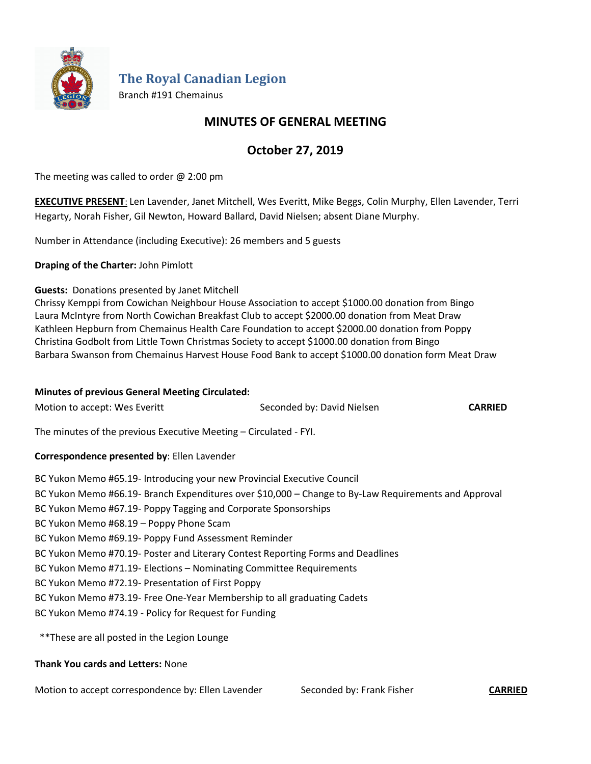

**The Royal Canadian Legion**

Branch #191 Chemainus

## **MINUTES OF GENERAL MEETING**

# **October 27, 2019**

The meeting was called to order  $@$  2:00 pm

**EXECUTIVE PRESENT**: Len Lavender, Janet Mitchell, Wes Everitt, Mike Beggs, Colin Murphy, Ellen Lavender, Terri Hegarty, Norah Fisher, Gil Newton, Howard Ballard, David Nielsen; absent Diane Murphy.

Number in Attendance (including Executive): 26 members and 5 guests

**Draping of the Charter:** John Pimlott

## **Guests:** Donations presented by Janet Mitchell

Chrissy Kemppi from Cowichan Neighbour House Association to accept \$1000.00 donation from Bingo Laura McIntyre from North Cowichan Breakfast Club to accept \$2000.00 donation from Meat Draw Kathleen Hepburn from Chemainus Health Care Foundation to accept \$2000.00 donation from Poppy Christina Godbolt from Little Town Christmas Society to accept \$1000.00 donation from Bingo Barbara Swanson from Chemainus Harvest House Food Bank to accept \$1000.00 donation form Meat Draw

#### **Minutes of previous General Meeting Circulated:**

| Motion to accept: Wes Everitt                                                                        | Seconded by: David Nielsen | <b>CARRIED</b> |  |  |  |
|------------------------------------------------------------------------------------------------------|----------------------------|----------------|--|--|--|
| The minutes of the previous Executive Meeting - Circulated - FYI.                                    |                            |                |  |  |  |
| Correspondence presented by: Ellen Lavender                                                          |                            |                |  |  |  |
| BC Yukon Memo #65.19- Introducing your new Provincial Executive Council                              |                            |                |  |  |  |
| BC Yukon Memo #66.19- Branch Expenditures over \$10,000 - Change to By-Law Requirements and Approval |                            |                |  |  |  |
| BC Yukon Memo #67.19- Poppy Tagging and Corporate Sponsorships                                       |                            |                |  |  |  |
| BC Yukon Memo #68.19 - Poppy Phone Scam                                                              |                            |                |  |  |  |
| BC Yukon Memo #69.19- Poppy Fund Assessment Reminder                                                 |                            |                |  |  |  |
| BC Yukon Memo #70.19- Poster and Literary Contest Reporting Forms and Deadlines                      |                            |                |  |  |  |
| BC Yukon Memo #71.19- Elections - Nominating Committee Requirements                                  |                            |                |  |  |  |
| BC Yukon Memo #72.19- Presentation of First Poppy                                                    |                            |                |  |  |  |
| BC Yukon Memo #73.19- Free One-Year Membership to all graduating Cadets                              |                            |                |  |  |  |
| BC Yukon Memo #74.19 - Policy for Request for Funding                                                |                            |                |  |  |  |
|                                                                                                      |                            |                |  |  |  |

\*\*These are all posted in the Legion Lounge

#### **Thank You cards and Letters:** None

Motion to accept correspondence by: Ellen Lavender Seconded by: Frank Fisher **CARRIED**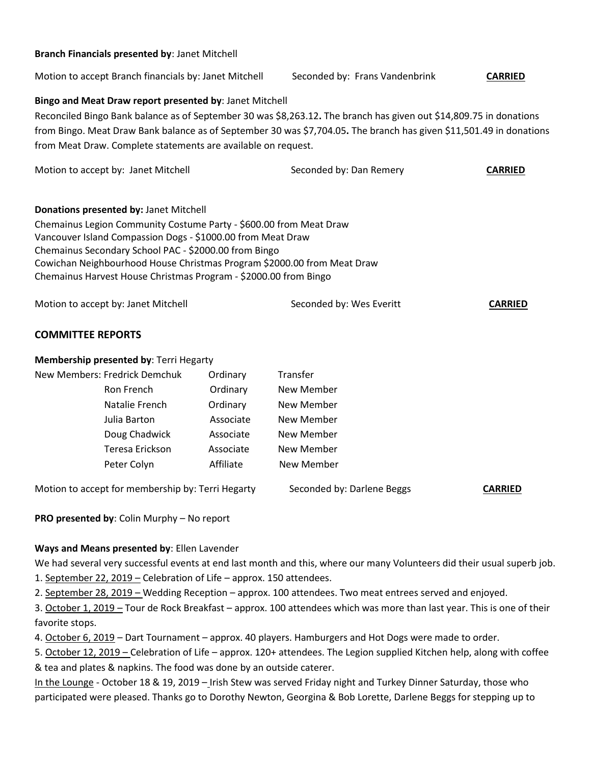#### **Branch Financials presented by**: Janet Mitchell

Motion to accept Branch financials by: Janet Mitchell Seconded by: Frans Vandenbrink **CARRIED**

#### **Bingo and Meat Draw report presented by**: Janet Mitchell

Reconciled Bingo Bank balance as of September 30 was \$8,263.12**.** The branch has given out \$14,809.75 in donations from Bingo. Meat Draw Bank balance as of September 30 was \$7,704.05**.** The branch has given \$11,501.49 in donations from Meat Draw. Complete statements are available on request.

| Motion to accept by: Janet Mitchell                                                                                                                                                                                                                                                                                                                                                 |                                                   | Seconded by: Dan Remery  | <b>CARRIED</b>             |                |  |  |
|-------------------------------------------------------------------------------------------------------------------------------------------------------------------------------------------------------------------------------------------------------------------------------------------------------------------------------------------------------------------------------------|---------------------------------------------------|--------------------------|----------------------------|----------------|--|--|
| Donations presented by: Janet Mitchell<br>Chemainus Legion Community Costume Party - \$600.00 from Meat Draw<br>Vancouver Island Compassion Dogs - \$1000.00 from Meat Draw<br>Chemainus Secondary School PAC - \$2000.00 from Bingo<br>Cowichan Neighbourhood House Christmas Program \$2000.00 from Meat Draw<br>Chemainus Harvest House Christmas Program - \$2000.00 from Bingo |                                                   |                          |                            |                |  |  |
| Motion to accept by: Janet Mitchell                                                                                                                                                                                                                                                                                                                                                 |                                                   | Seconded by: Wes Everitt | <b>CARRIED</b>             |                |  |  |
| <b>COMMITTEE REPORTS</b>                                                                                                                                                                                                                                                                                                                                                            |                                                   |                          |                            |                |  |  |
| Membership presented by: Terri Hegarty                                                                                                                                                                                                                                                                                                                                              |                                                   |                          |                            |                |  |  |
|                                                                                                                                                                                                                                                                                                                                                                                     | New Members: Fredrick Demchuk                     | Ordinary                 | Transfer                   |                |  |  |
|                                                                                                                                                                                                                                                                                                                                                                                     | Ron French                                        | Ordinary                 | New Member                 |                |  |  |
|                                                                                                                                                                                                                                                                                                                                                                                     | Natalie French                                    | Ordinary                 | New Member                 |                |  |  |
|                                                                                                                                                                                                                                                                                                                                                                                     | Julia Barton                                      | Associate                | New Member                 |                |  |  |
|                                                                                                                                                                                                                                                                                                                                                                                     | Doug Chadwick                                     | Associate                | New Member                 |                |  |  |
|                                                                                                                                                                                                                                                                                                                                                                                     | Teresa Erickson                                   | Associate                | New Member                 |                |  |  |
|                                                                                                                                                                                                                                                                                                                                                                                     | Peter Colyn                                       | Affiliate                | New Member                 |                |  |  |
|                                                                                                                                                                                                                                                                                                                                                                                     | Motion to accept for membership by: Terri Hegarty |                          | Seconded by: Darlene Beggs | <b>CARRIED</b> |  |  |

**PRO presented by**: Colin Murphy – No report

#### **Ways and Means presented by**: Ellen Lavender

We had several very successful events at end last month and this, where our many Volunteers did their usual superb job.

1. September 22, 2019 – Celebration of Life – approx. 150 attendees.

2. September 28, 2019 – Wedding Reception – approx. 100 attendees. Two meat entrees served and enjoyed.

3. October 1, 2019 – Tour de Rock Breakfast – approx. 100 attendees which was more than last year. This is one of their favorite stops.

4. October 6, 2019 – Dart Tournament – approx. 40 players. Hamburgers and Hot Dogs were made to order.

5. October 12, 2019 – Celebration of Life – approx. 120+ attendees. The Legion supplied Kitchen help, along with coffee & tea and plates & napkins. The food was done by an outside caterer.

In the Lounge - October 18 & 19, 2019 – Irish Stew was served Friday night and Turkey Dinner Saturday, those who participated were pleased. Thanks go to Dorothy Newton, Georgina & Bob Lorette, Darlene Beggs for stepping up to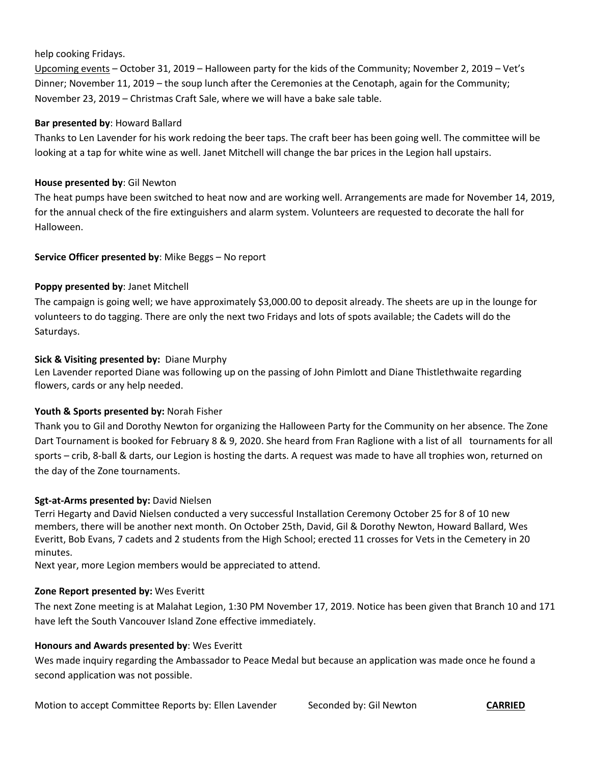## help cooking Fridays.

Upcoming events – October 31, 2019 – Halloween party for the kids of the Community; November 2, 2019 – Vet's Dinner; November 11, 2019 – the soup lunch after the Ceremonies at the Cenotaph, again for the Community; November 23, 2019 – Christmas Craft Sale, where we will have a bake sale table.

#### **Bar presented by**: Howard Ballard

Thanks to Len Lavender for his work redoing the beer taps. The craft beer has been going well. The committee will be looking at a tap for white wine as well. Janet Mitchell will change the bar prices in the Legion hall upstairs.

#### **House presented by**: Gil Newton

The heat pumps have been switched to heat now and are working well. Arrangements are made for November 14, 2019, for the annual check of the fire extinguishers and alarm system. Volunteers are requested to decorate the hall for Halloween.

## **Service Officer presented by**: Mike Beggs – No report

## **Poppy presented by**: Janet Mitchell

The campaign is going well; we have approximately \$3,000.00 to deposit already. The sheets are up in the lounge for volunteers to do tagging. There are only the next two Fridays and lots of spots available; the Cadets will do the Saturdays.

## **Sick & Visiting presented by:** Diane Murphy

Len Lavender reported Diane was following up on the passing of John Pimlott and Diane Thistlethwaite regarding flowers, cards or any help needed.

## **Youth & Sports presented by:** Norah Fisher

Thank you to Gil and Dorothy Newton for organizing the Halloween Party for the Community on her absence. The Zone Dart Tournament is booked for February 8 & 9, 2020. She heard from Fran Raglione with a list of all tournaments for all sports – crib, 8-ball & darts, our Legion is hosting the darts. A request was made to have all trophies won, returned on the day of the Zone tournaments.

#### **Sgt-at-Arms presented by:** David Nielsen

Terri Hegarty and David Nielsen conducted a very successful Installation Ceremony October 25 for 8 of 10 new members, there will be another next month. On October 25th, David, Gil & Dorothy Newton, Howard Ballard, Wes Everitt, Bob Evans, 7 cadets and 2 students from the High School; erected 11 crosses for Vets in the Cemetery in 20 minutes.

Next year, more Legion members would be appreciated to attend.

#### **Zone Report presented by:** Wes Everitt

The next Zone meeting is at Malahat Legion, 1:30 PM November 17, 2019. Notice has been given that Branch 10 and 171 have left the South Vancouver Island Zone effective immediately.

#### **Honours and Awards presented by**: Wes Everitt

Wes made inquiry regarding the Ambassador to Peace Medal but because an application was made once he found a second application was not possible.

Motion to accept Committee Reports by: Ellen Lavender Seconded by: Gil Newton **CARRIED**